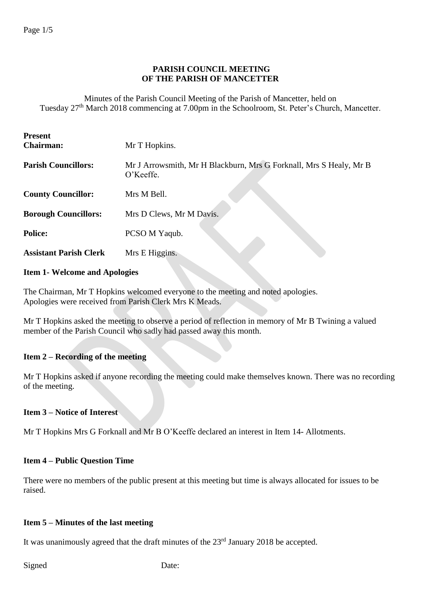## **PARISH COUNCIL MEETING OF THE PARISH OF MANCETTER**

Minutes of the Parish Council Meeting of the Parish of Mancetter, held on Tuesday 27<sup>th</sup> March 2018 commencing at 7.00pm in the Schoolroom, St. Peter's Church, Mancetter.

| <b>Present</b><br><b>Chairman:</b> | Mr T Hopkins.                                                                   |
|------------------------------------|---------------------------------------------------------------------------------|
| <b>Parish Councillors:</b>         | Mr J Arrowsmith, Mr H Blackburn, Mrs G Forknall, Mrs S Healy, Mr B<br>O'Keeffe. |
| <b>County Councillor:</b>          | Mrs M Bell.                                                                     |
| <b>Borough Councillors:</b>        | Mrs D Clews, Mr M Davis.                                                        |
| <b>Police:</b>                     | PCSO M Yaqub.                                                                   |
| <b>Assistant Parish Clerk</b>      | Mrs E Higgins.                                                                  |

## **Item 1- Welcome and Apologies**

The Chairman, Mr T Hopkins welcomed everyone to the meeting and noted apologies. Apologies were received from Parish Clerk Mrs K Meads.

Mr T Hopkins asked the meeting to observe a period of reflection in memory of Mr B Twining a valued member of the Parish Council who sadly had passed away this month.

## **Item 2 – Recording of the meeting**

Mr T Hopkins asked if anyone recording the meeting could make themselves known. There was no recording of the meeting.

## **Item 3 – Notice of Interest**

Mr T Hopkins Mrs G Forknall and Mr B O'Keeffe declared an interest in Item 14- Allotments.

#### **Item 4 – Public Question Time**

There were no members of the public present at this meeting but time is always allocated for issues to be raised.

#### **Item 5 – Minutes of the last meeting**

It was unanimously agreed that the draft minutes of the 23<sup>rd</sup> January 2018 be accepted.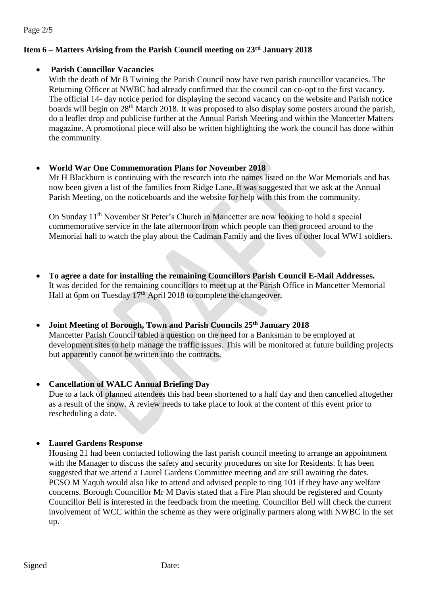Page 2/5

# **Item 6 – Matters Arising from the Parish Council meeting on 23 rd January 2018**

## • **Parish Councillor Vacancies**

With the death of Mr B Twining the Parish Council now have two parish councillor vacancies. The Returning Officer at NWBC had already confirmed that the council can co-opt to the first vacancy. The official 14- day notice period for displaying the second vacancy on the website and Parish notice boards will begin on 28<sup>th</sup> March 2018. It was proposed to also display some posters around the parish, do a leaflet drop and publicise further at the Annual Parish Meeting and within the Mancetter Matters magazine. A promotional piece will also be written highlighting the work the council has done within the community.

#### • **World War One Commemoration Plans for November 2018**

Mr H Blackburn is continuing with the research into the names listed on the War Memorials and has now been given a list of the families from Ridge Lane. It was suggested that we ask at the Annual Parish Meeting, on the noticeboards and the website for help with this from the community.

On Sunday 11<sup>th</sup> November St Peter's Church in Mancetter are now looking to hold a special commemorative service in the late afternoon from which people can then proceed around to the Memorial hall to watch the play about the Cadman Family and the lives of other local WW1 soldiers.

• **To agree a date for installing the remaining Councillors Parish Council E-Mail Addresses.** It was decided for the remaining councillors to meet up at the Parish Office in Mancetter Memorial Hall at 6pm on Tuesday 17<sup>th</sup> April 2018 to complete the changeover.

# • **Joint Meeting of Borough, Town and Parish Councils 25th January 2018**

Mancetter Parish Council tabled a question on the need for a Banksman to be employed at development sites to help manage the traffic issues. This will be monitored at future building projects but apparently cannot be written into the contracts.

## • **Cancellation of WALC Annual Briefing Day**

Due to a lack of planned attendees this had been shortened to a half day and then cancelled altogether as a result of the snow. A review needs to take place to look at the content of this event prior to rescheduling a date.

#### • **Laurel Gardens Response**

Housing 21 had been contacted following the last parish council meeting to arrange an appointment with the Manager to discuss the safety and security procedures on site for Residents. It has been suggested that we attend a Laurel Gardens Committee meeting and are still awaiting the dates. PCSO M Yaqub would also like to attend and advised people to ring 101 if they have any welfare concerns. Borough Councillor Mr M Davis stated that a Fire Plan should be registered and County Councillor Bell is interested in the feedback from the meeting. Councillor Bell will check the current involvement of WCC within the scheme as they were originally partners along with NWBC in the set up.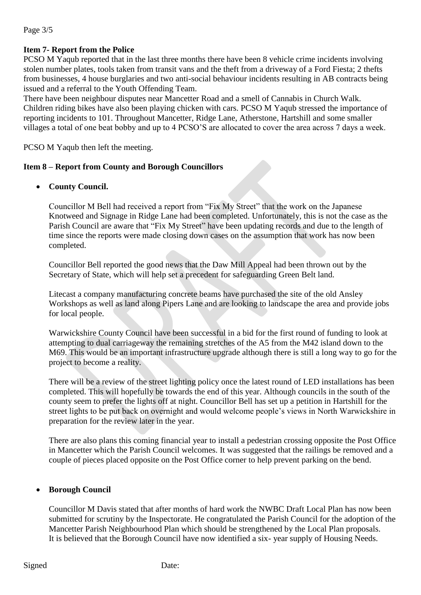#### Page 3/5

# **Item 7- Report from the Police**

PCSO M Yaqub reported that in the last three months there have been 8 vehicle crime incidents involving stolen number plates, tools taken from transit vans and the theft from a driveway of a Ford Fiesta; 2 thefts from businesses, 4 house burglaries and two anti-social behaviour incidents resulting in AB contracts being issued and a referral to the Youth Offending Team.

There have been neighbour disputes near Mancetter Road and a smell of Cannabis in Church Walk. Children riding bikes have also been playing chicken with cars. PCSO M Yaqub stressed the importance of reporting incidents to 101. Throughout Mancetter, Ridge Lane, Atherstone, Hartshill and some smaller villages a total of one beat bobby and up to 4 PCSO'S are allocated to cover the area across 7 days a week.

PCSO M Yaqub then left the meeting.

## **Item 8 – Report from County and Borough Councillors**

• **County Council.**

Councillor M Bell had received a report from "Fix My Street" that the work on the Japanese Knotweed and Signage in Ridge Lane had been completed. Unfortunately, this is not the case as the Parish Council are aware that "Fix My Street" have been updating records and due to the length of time since the reports were made closing down cases on the assumption that work has now been completed.

Councillor Bell reported the good news that the Daw Mill Appeal had been thrown out by the Secretary of State, which will help set a precedent for safeguarding Green Belt land.

Litecast a company manufacturing concrete beams have purchased the site of the old Ansley Workshops as well as land along Pipers Lane and are looking to landscape the area and provide jobs for local people.

Warwickshire County Council have been successful in a bid for the first round of funding to look at attempting to dual carriageway the remaining stretches of the A5 from the M42 island down to the M69. This would be an important infrastructure upgrade although there is still a long way to go for the project to become a reality.

There will be a review of the street lighting policy once the latest round of LED installations has been completed. This will hopefully be towards the end of this year. Although councils in the south of the county seem to prefer the lights off at night. Councillor Bell has set up a petition in Hartshill for the street lights to be put back on overnight and would welcome people's views in North Warwickshire in preparation for the review later in the year.

There are also plans this coming financial year to install a pedestrian crossing opposite the Post Office in Mancetter which the Parish Council welcomes. It was suggested that the railings be removed and a couple of pieces placed opposite on the Post Office corner to help prevent parking on the bend.

## • **Borough Council**

Councillor M Davis stated that after months of hard work the NWBC Draft Local Plan has now been submitted for scrutiny by the Inspectorate. He congratulated the Parish Council for the adoption of the Mancetter Parish Neighbourhood Plan which should be strengthened by the Local Plan proposals. It is believed that the Borough Council have now identified a six- year supply of Housing Needs.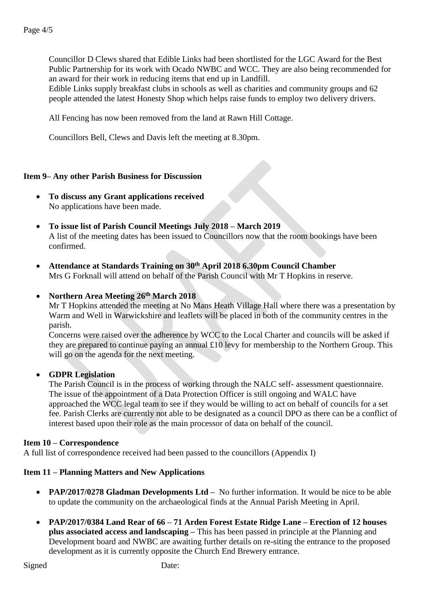Councillor D Clews shared that Edible Links had been shortlisted for the LGC Award for the Best Public Partnership for its work with Ocado NWBC and WCC. They are also being recommended for an award for their work in reducing items that end up in Landfill.

Edible Links supply breakfast clubs in schools as well as charities and community groups and 62 people attended the latest Honesty Shop which helps raise funds to employ two delivery drivers.

All Fencing has now been removed from the land at Rawn Hill Cottage.

Councillors Bell, Clews and Davis left the meeting at 8.30pm.

#### **Item 9– Any other Parish Business for Discussion**

- **To discuss any Grant applications received** No applications have been made.
- **To issue list of Parish Council Meetings July 2018 – March 2019** A list of the meeting dates has been issued to Councillors now that the room bookings have been confirmed.
- **Attendance at Standards Training on 30th April 2018 6.30pm Council Chamber** Mrs G Forknall will attend on behalf of the Parish Council with Mr T Hopkins in reserve.

#### • **Northern Area Meeting 26th March 2018**

Mr T Hopkins attended the meeting at No Mans Heath Village Hall where there was a presentation by Warm and Well in Warwickshire and leaflets will be placed in both of the community centres in the parish.

Concerns were raised over the adherence by WCC to the Local Charter and councils will be asked if they are prepared to continue paying an annual £10 levy for membership to the Northern Group. This will go on the agenda for the next meeting.

#### • **GDPR Legislation**

The Parish Council is in the process of working through the NALC self- assessment questionnaire. The issue of the appointment of a Data Protection Officer is still ongoing and WALC have approached the WCC legal team to see if they would be willing to act on behalf of councils for a set fee. Parish Clerks are currently not able to be designated as a council DPO as there can be a conflict of interest based upon their role as the main processor of data on behalf of the council.

#### **Item 10 – Correspondence**

A full list of correspondence received had been passed to the councillors (Appendix I)

#### **Item 11 – Planning Matters and New Applications**

- **PAP/2017/0278 Gladman Developments Ltd –** No further information. It would be nice to be able to update the community on the archaeological finds at the Annual Parish Meeting in April.
- **PAP/2017/0384 Land Rear of 66 – 71 Arden Forest Estate Ridge Lane – Erection of 12 houses plus associated access and landscaping –** This has been passed in principle at the Planning and Development board and NWBC are awaiting further details on re-siting the entrance to the proposed development as it is currently opposite the Church End Brewery entrance.